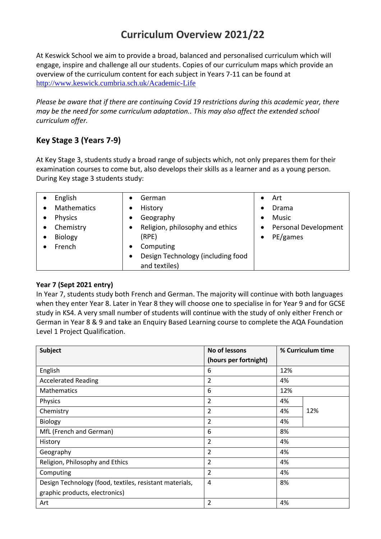# **Curriculum Overview 2021/22**

At Keswick School we aim to provide a broad, balanced and personalised curriculum which will engage, inspire and challenge all our students. Copies of our curriculum maps which provide an overview of the curriculum content for each subject in Years 7-11 can be found at <http://www.keswick.cumbria.sch.uk/Academic-Life>

*Please be aware that if there are continuing Covid 19 restrictions during this academic year, there may be the need for some curriculum adaptation.. This may also affect the extended school curriculum offer.* 

## **Key Stage 3 (Years 7-9)**

At Key Stage 3, students study a broad range of subjects which, not only prepares them for their examination courses to come but, also develops their skills as a learner and as a young person. During Key stage 3 students study:

| English            | German<br>$\bullet$                            | Art                  |
|--------------------|------------------------------------------------|----------------------|
| <b>Mathematics</b> | History<br>٠                                   | Drama                |
| <b>Physics</b>     | Geography<br>$\bullet$                         | Music                |
| Chemistry          | Religion, philosophy and ethics<br>$\bullet$   | Personal Development |
| <b>Biology</b>     | (RPE)                                          | PE/games             |
| French             | Computing<br>$\bullet$                         |                      |
|                    | Design Technology (including food<br>$\bullet$ |                      |
|                    | and textiles)                                  |                      |

#### **Year 7 (Sept 2021 entry)**

In Year 7, students study both French and German. The majority will continue with both languages when they enter Year 8. Later in Year 8 they will choose one to specialise in for Year 9 and for GCSE study in KS4. A very small number of students will continue with the study of only either French or German in Year 8 & 9 and take an Enquiry Based Learning course to complete the AQA Foundation Level 1 Project Qualification.

| <b>Subject</b>                                          | No of lessons         | % Curriculum time |  |  |
|---------------------------------------------------------|-----------------------|-------------------|--|--|
|                                                         | (hours per fortnight) |                   |  |  |
| English                                                 | 6                     | 12%               |  |  |
| <b>Accelerated Reading</b>                              | $\overline{2}$        | 4%                |  |  |
| <b>Mathematics</b>                                      | 6                     | 12%               |  |  |
| Physics                                                 | 2                     | 4%                |  |  |
| Chemistry                                               | 2                     | 12%<br>4%         |  |  |
| Biology                                                 | $\overline{2}$        | 4%                |  |  |
| MfL (French and German)                                 | 6                     | 8%                |  |  |
| History                                                 | 2                     | 4%                |  |  |
| Geography                                               | 2                     | 4%                |  |  |
| Religion, Philosophy and Ethics                         | 2                     | 4%                |  |  |
| Computing                                               | $\overline{2}$        | 4%                |  |  |
| Design Technology (food, textiles, resistant materials, | 4                     | 8%                |  |  |
| graphic products, electronics)                          |                       |                   |  |  |
| Art                                                     | 2                     | 4%                |  |  |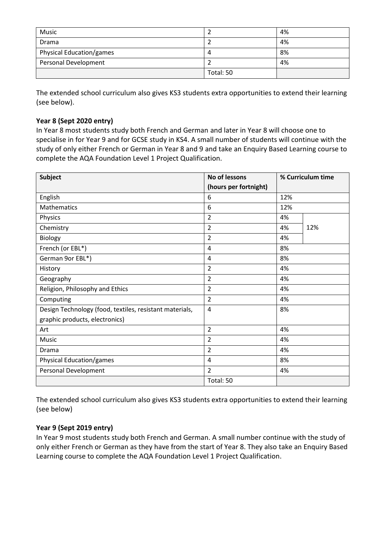| Music                       |           | 4% |
|-----------------------------|-----------|----|
| Drama                       |           | 4% |
| Physical Education/games    | 4         | 8% |
| <b>Personal Development</b> |           | 4% |
|                             | Total: 50 |    |

The extended school curriculum also gives KS3 students extra opportunities to extend their learning (see below).

#### **Year 8 (Sept 2020 entry)**

In Year 8 most students study both French and German and later in Year 8 will choose one to specialise in for Year 9 and for GCSE study in KS4. A small number of students will continue with the study of only either French or German in Year 8 and 9 and take an Enquiry Based Learning course to complete the AQA Foundation Level 1 Project Qualification.

| <b>Subject</b>                                          | No of lessons         | % Curriculum time |     |
|---------------------------------------------------------|-----------------------|-------------------|-----|
|                                                         | (hours per fortnight) |                   |     |
| English                                                 | 6                     | 12%               |     |
| Mathematics                                             | 6                     | 12%               |     |
| Physics                                                 | $\overline{2}$        | 4%                |     |
| Chemistry                                               | 2                     | 4%                | 12% |
| Biology                                                 | 2                     | 4%                |     |
| French (or EBL*)                                        | 4                     | 8%                |     |
| German 9or EBL*)                                        | 4                     | 8%                |     |
| History                                                 | $\overline{2}$        | 4%                |     |
| Geography                                               | $\overline{2}$        | 4%                |     |
| Religion, Philosophy and Ethics                         | 2                     | 4%                |     |
| Computing                                               | $\overline{2}$        | 4%                |     |
| Design Technology (food, textiles, resistant materials, | $\overline{4}$        | 8%                |     |
| graphic products, electronics)                          |                       |                   |     |
| Art                                                     | $\overline{2}$        | 4%                |     |
| <b>Music</b>                                            | $\overline{2}$        | 4%                |     |
| Drama                                                   | 2                     | 4%                |     |
| Physical Education/games                                | $\overline{4}$        | 8%                |     |
| Personal Development                                    | $\overline{2}$        | 4%                |     |
|                                                         | Total: 50             |                   |     |

The extended school curriculum also gives KS3 students extra opportunities to extend their learning (see below)

#### **Year 9 (Sept 2019 entry)**

In Year 9 most students study both French and German. A small number continue with the study of only either French or German as they have from the start of Year 8. They also take an Enquiry Based Learning course to complete the AQA Foundation Level 1 Project Qualification.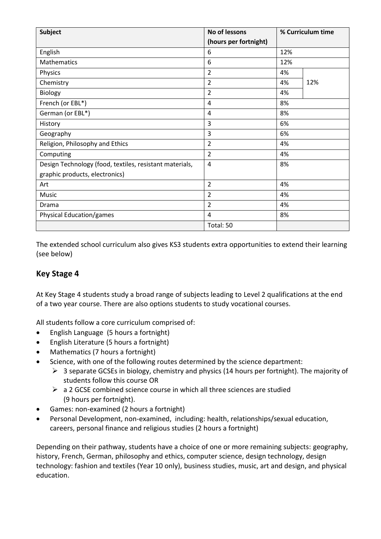| <b>Subject</b>                                          | No of lessons         | % Curriculum time |     |  |
|---------------------------------------------------------|-----------------------|-------------------|-----|--|
|                                                         | (hours per fortnight) |                   |     |  |
| English                                                 | 6                     | 12%               |     |  |
| Mathematics                                             | 6                     | 12%               |     |  |
| Physics                                                 | $\overline{2}$        | 4%                |     |  |
| Chemistry                                               | $\overline{2}$        | 4%                | 12% |  |
| <b>Biology</b>                                          | $\overline{2}$        | 4%                |     |  |
| French (or EBL*)                                        | 4                     | 8%                |     |  |
| German (or EBL*)                                        | 4                     | 8%                |     |  |
| History                                                 | 3                     | 6%                |     |  |
| Geography                                               | 3                     | 6%                |     |  |
| Religion, Philosophy and Ethics                         | 2                     | 4%                |     |  |
| Computing                                               | $\overline{2}$        | 4%                |     |  |
| Design Technology (food, textiles, resistant materials, | $\overline{4}$        | 8%                |     |  |
| graphic products, electronics)                          |                       |                   |     |  |
| Art                                                     | $\overline{2}$        | 4%                |     |  |
| Music                                                   | $\overline{2}$        | 4%                |     |  |
| Drama                                                   | $\overline{2}$        | 4%                |     |  |
| Physical Education/games                                | 4                     | 8%                |     |  |
|                                                         | Total: 50             |                   |     |  |

The extended school curriculum also gives KS3 students extra opportunities to extend their learning (see below)

## **Key Stage 4**

At Key Stage 4 students study a broad range of subjects leading to Level 2 qualifications at the end of a two year course. There are also options students to study vocational courses.

All students follow a core curriculum comprised of:

- English Language (5 hours a fortnight)
- English Literature (5 hours a fortnight)
- Mathematics (7 hours a fortnight)
- Science, with one of the following routes determined by the science department:
	- $\geq$  3 separate GCSEs in biology, chemistry and physics (14 hours per fortnight). The majority of students follow this course OR
	- $\triangleright$  a 2 GCSE combined science course in which all three sciences are studied (9 hours per fortnight).
- Games: non-examined (2 hours a fortnight)
- Personal Development, non-examined, including: health, relationships/sexual education, careers, personal finance and religious studies (2 hours a fortnight)

Depending on their pathway, students have a choice of one or more remaining subjects: geography, history, French, German, philosophy and ethics, computer science, design technology, design technology: fashion and textiles (Year 10 only), business studies, music, art and design, and physical education.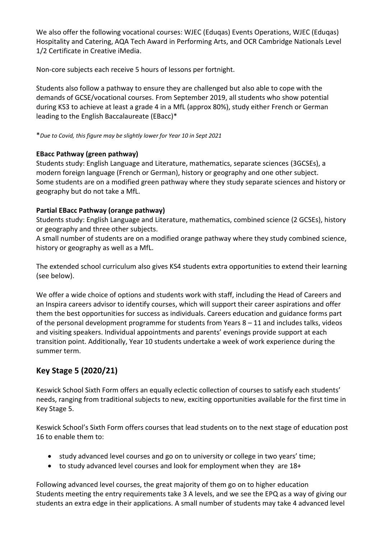We also offer the following vocational courses: WJEC (Eduqas) Events Operations, WJEC (Eduqas) Hospitality and Catering, AQA Tech Award in Performing Arts, and OCR Cambridge Nationals Level 1/2 Certificate in Creative iMedia.

Non-core subjects each receive 5 hours of lessons per fortnight.

Students also follow a pathway to ensure they are challenged but also able to cope with the demands of GCSE/vocational courses. From September 2019, all students who show potential during KS3 to achieve at least a grade 4 in a MfL (approx 80%), study either French or German leading to the English Baccalaureate (EBacc)\*

\**Due to Covid, this figure may be slightly lower for Year 10 in Sept 2021*

#### **EBacc Pathway (green pathway)**

Students study: English Language and Literature, mathematics, separate sciences (3GCSEs), a modern foreign language (French or German), history or geography and one other subject. Some students are on a modified green pathway where they study separate sciences and history or geography but do not take a MfL.

### **Partial EBacc Pathway (orange pathway)**

Students study: English Language and Literature, mathematics, combined science (2 GCSEs), history or geography and three other subjects.

A small number of students are on a modified orange pathway where they study combined science, history or geography as well as a MfL.

The extended school curriculum also gives KS4 students extra opportunities to extend their learning (see below).

We offer a wide choice of options and students work with staff, including the Head of Careers and an Inspira careers advisor to identify courses, which will support their career aspirations and offer them the best opportunities for success as individuals. Careers education and guidance forms part of the personal development programme for students from Years 8 – 11 and includes talks, videos and visiting speakers. Individual appointments and parents' evenings provide support at each transition point. Additionally, Year 10 students undertake a week of work experience during the summer term.

## **Key Stage 5 (2020/21)**

Keswick School Sixth Form offers an equally eclectic collection of courses to satisfy each students' needs, ranging from traditional subjects to new, exciting opportunities available for the first time in Key Stage 5.

Keswick School's Sixth Form offers courses that lead students on to the next stage of education post 16 to enable them to:

- study advanced level courses and go on to university or college in two years' time;
- to study advanced level courses and look for employment when they are 18+

Following advanced level courses, the great majority of them go on to higher education Students meeting the entry requirements take 3 A levels, and we see the EPQ as a way of giving our students an extra edge in their applications. A small number of students may take 4 advanced level